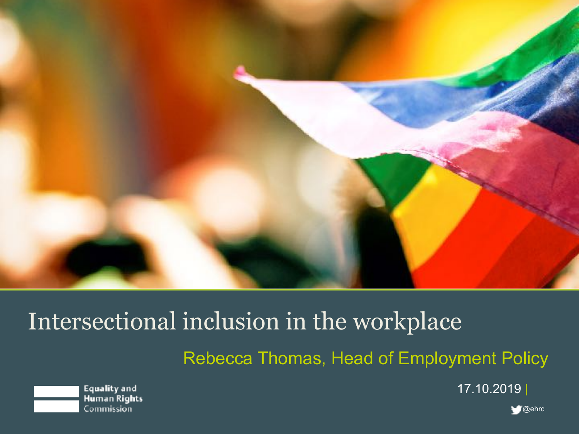

# Intersectional inclusion in the workplace

Rebecca Thomas, Head of Employment Policy



17.10.2019

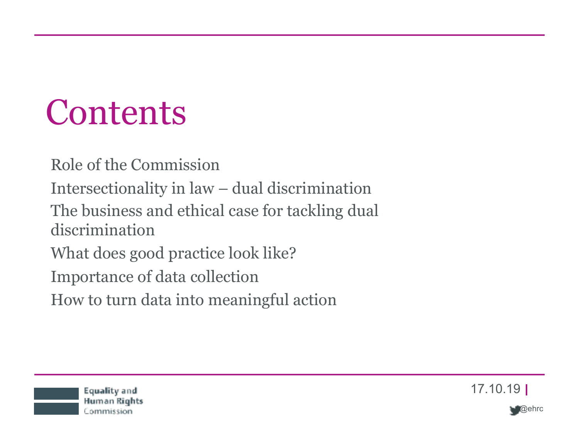# **Contents**

Role of the Commission Intersectionality in law – dual discrimination The business and ethical case for tackling dual discrimination What does good practice look like? Importance of data collection

How to turn data into meaningful action



17.10.19

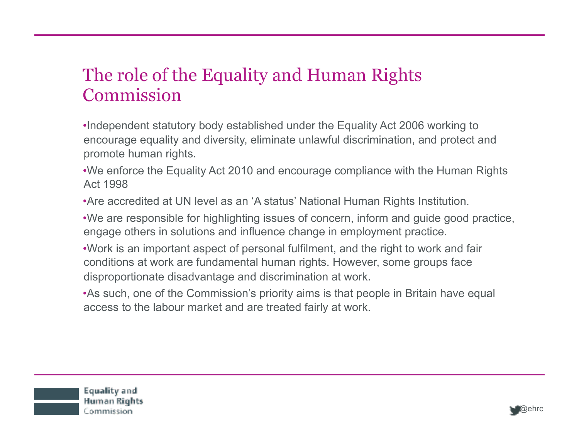#### The role of the Equality and Human Rights Commission

- •Independent statutory body established under the Equality Act 2006 working to encourage equality and diversity, eliminate unlawful discrimination, and protect and promote human rights.
- •We enforce the Equality Act 2010 and encourage compliance with the Human Rights Act 1998
- •Are accredited at UN level as an 'A status' National Human Rights Institution.
- •We are responsible for highlighting issues of concern, inform and guide good practice, engage others in solutions and influence change in employment practice.
- •Work is an important aspect of personal fulfilment, and the right to work and fair conditions at work are fundamental human rights. However, some groups face disproportionate disadvantage and discrimination at work.
- •As such, one of the Commission's priority aims is that people in Britain have equal access to the labour market and are treated fairly at work.

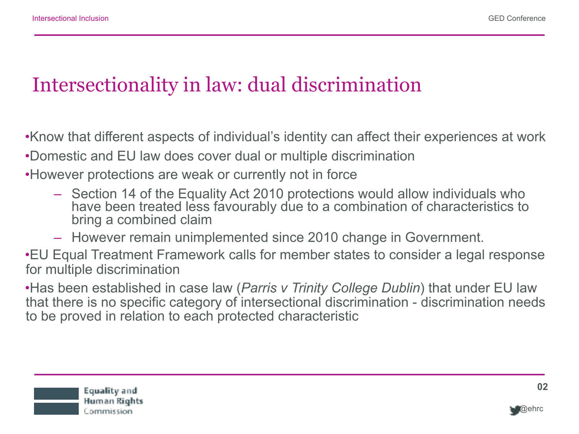### Intersectionality in law: dual discrimination

•Know that different aspects of individual's identity can affect their experiences at work

- •Domestic and EU law does cover dual or multiple discrimination
- •However protections are weak or currently not in force
	- Section 14 of the Equality Act 2010 protections would allow individuals who have been treated less favourably due to a combination of characteristics to bring a combined claim
	- However remain unimplemented since 2010 change in Government.

•EU Equal Treatment Framework calls for member states to consider a legal response for multiple discrimination

•Has been established in case law (*Parris v Trinity College Dublin*) that under EU law that there is no specific category of intersectional discrimination - discrimination needs to be proved in relation to each protected characteristic



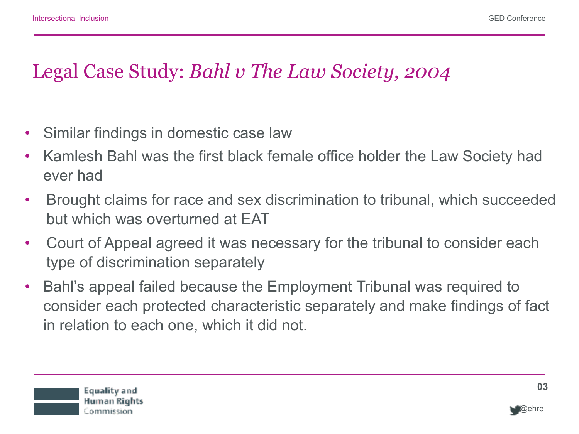### Legal Case Study: *Bahl v The Law Society, 2004*

- Similar findings in domestic case law
- Kamlesh Bahl was the first black female office holder the Law Society had ever had
- Brought claims for race and sex discrimination to tribunal, which succeeded but which was overturned at EAT
- Court of Appeal agreed it was necessary for the tribunal to consider each type of discrimination separately
- Bahl's appeal failed because the Employment Tribunal was required to consider each protected characteristic separately and make findings of fact in relation to each one, which it did not.



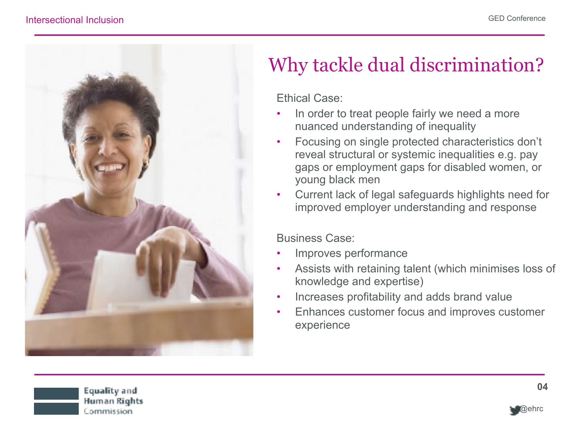

## Why tackle dual discrimination?

#### Ethical Case:

- In order to treat people fairly we need a more nuanced understanding of inequality
- Focusing on single protected characteristics don't reveal structural or systemic inequalities e.g. pay gaps or employment gaps for disabled women, or young black men
- Current lack of legal safeguards highlights need for improved employer understanding and response

#### Business Case:

- Improves performance
- Assists with retaining talent (which minimises loss of knowledge and expertise)
- Increases profitability and adds brand value
- Enhances customer focus and improves customer experience



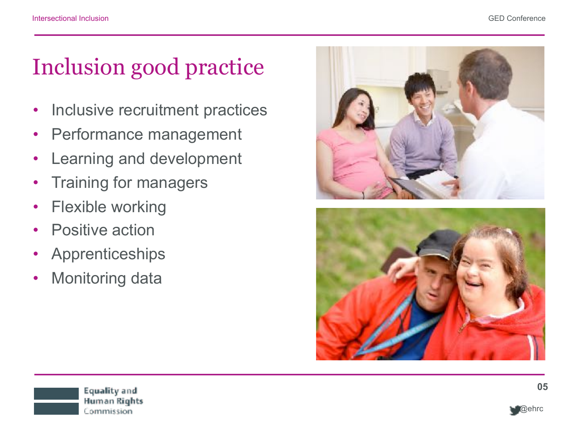# Inclusion good practice

- Inclusive recruitment practices
- Performance management
- Learning and development
- Training for managers
- Flexible working
- Positive action
- Apprenticeships
- Monitoring data



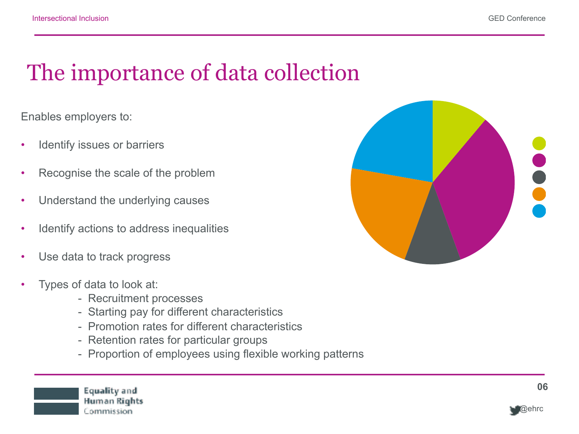## The importance of data collection

Enables employers to:

- Identify issues or barriers
- Recognise the scale of the problem
- Understand the underlying causes

Equality and Human Rights Commission

- Identify actions to address inequalities
- Use data to track progress
- Types of data to look at:
	- Recruitment processes
	- Starting pay for different characteristics
	- Promotion rates for different characteristics
	- Retention rates for particular groups
	- Proportion of employees using flexible working patterns



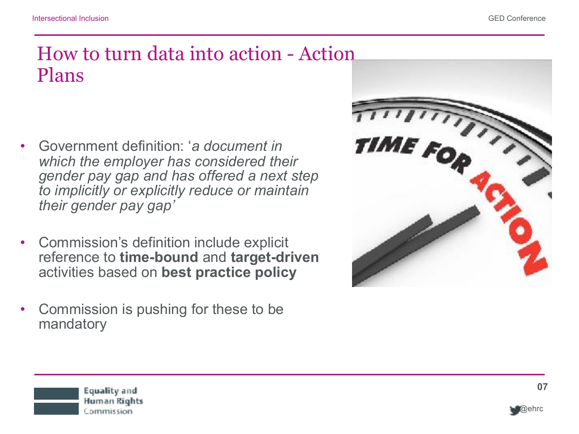#### How to turn data into action - Action Plans

- Government definition: '*a document in which the employer has considered their gender pay gap and has offered a next step to implicitly or explicitly reduce or maintain their gender pay gap'*
- Commission's definition include explicit reference to **time-bound** and **target-driven** activities based on **best practice policy**
- Commission is pushing for these to be mandatory



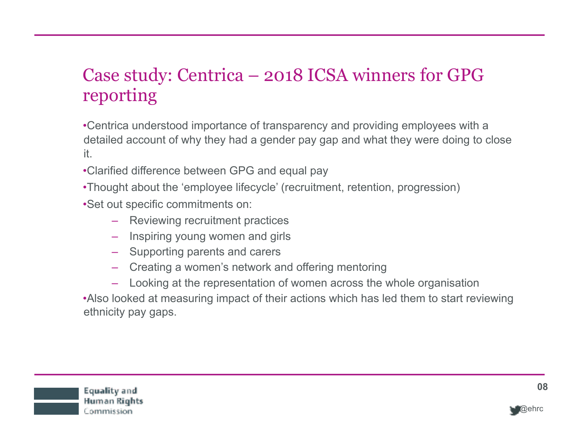#### Case study: Centrica – 2018 ICSA winners for GPG reporting

•Centrica understood importance of transparency and providing employees with a detailed account of why they had a gender pay gap and what they were doing to close it.

•Clarified difference between GPG and equal pay

- •Thought about the 'employee lifecycle' (recruitment, retention, progression)
- •Set out specific commitments on:
	- Reviewing recruitment practices
	- Inspiring young women and girls
	- Supporting parents and carers
	- Creating a women's network and offering mentoring
	- Looking at the representation of women across the whole organisation

•Also looked at measuring impact of their actions which has led them to start reviewing ethnicity pay gaps.



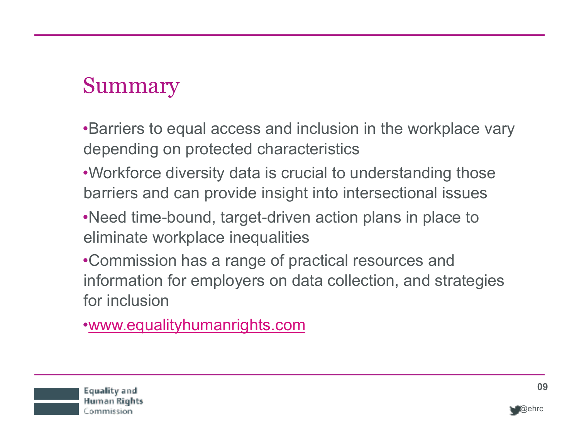## Summary

•Barriers to equal access and inclusion in the workplace vary depending on protected characteristics

- •Workforce diversity data is crucial to understanding those barriers and can provide insight into intersectional issues
- •Need time-bound, target-driven action plans in place to eliminate workplace inequalities
- •Commission has a range of practical resources and information for employers on data collection, and strategies for inclusion

•[www.equalityhumanrights.com](http://www.equalityhumanrights.com/)



Human Rights